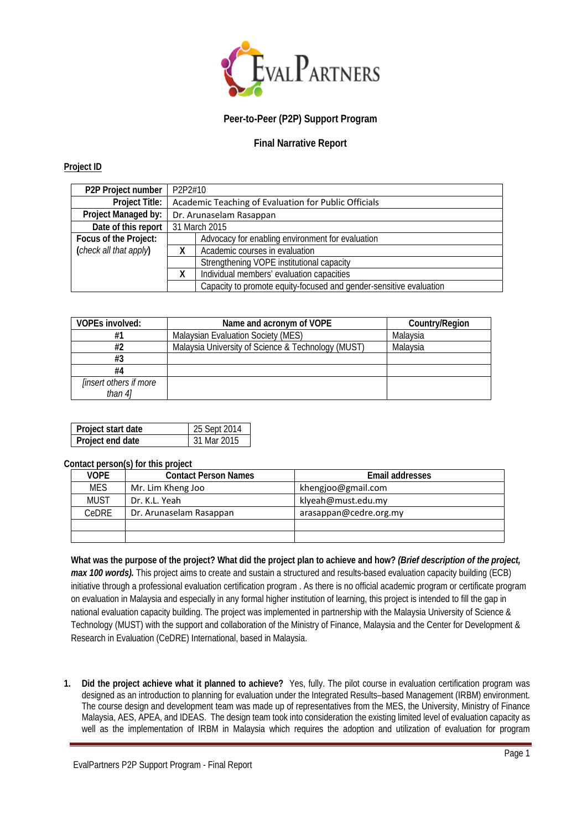

# **Peer-to-Peer (P2P) Support Program**

## **Final Narrative Report**

## **Project ID**

| P2P Project number     | P2P2#10                                              |                                                                    |  |
|------------------------|------------------------------------------------------|--------------------------------------------------------------------|--|
| Project Title:         | Academic Teaching of Evaluation for Public Officials |                                                                    |  |
| Project Managed by:    | Dr. Arunaselam Rasappan                              |                                                                    |  |
| Date of this report    | 31 March 2015                                        |                                                                    |  |
| Focus of the Project:  |                                                      | Advocacy for enabling environment for evaluation                   |  |
| (check all that apply) | χ                                                    | Academic courses in evaluation                                     |  |
|                        | Strengthening VOPE institutional capacity            |                                                                    |  |
|                        | Individual members' evaluation capacities            |                                                                    |  |
|                        |                                                      | Capacity to promote equity-focused and gender-sensitive evaluation |  |

| VOPEs involved:               | Name and acronym of VOPE                           | Country/Region |
|-------------------------------|----------------------------------------------------|----------------|
| #1                            | Malaysian Evaluation Society (MES)                 | Malaysia       |
| #2                            | Malaysia University of Science & Technology (MUST) | Malavsia       |
| #3                            |                                                    |                |
| #4                            |                                                    |                |
| <i>linsert others if more</i> |                                                    |                |
| than 4]                       |                                                    |                |

| Project start date | 25 Sept 2014 |
|--------------------|--------------|
| Project end date   | 31 Mar 2015  |

#### **Contact person(s) for this project**

| <b>VOPE</b>  | <b>Contact Person Names</b> | Email addresses        |  |  |  |  |
|--------------|-----------------------------|------------------------|--|--|--|--|
| <b>MES</b>   | Mr. Lim Kheng Joo           | khengjoo@gmail.com     |  |  |  |  |
| MUST         | Dr. K.L. Yeah               | klyeah@must.edu.my     |  |  |  |  |
| <b>CeDRE</b> | Dr. Arunaselam Rasappan     | arasappan@cedre.org.my |  |  |  |  |
|              |                             |                        |  |  |  |  |
|              |                             |                        |  |  |  |  |

## **What was the purpose of the project? What did the project plan to achieve and how?** *(Brief description of the project,*

*max 100 words).* This project aims to create and sustain a structured and results-based evaluation capacity building (ECB) initiative through a professional evaluation certification program . As there is no official academic program or certificate program on evaluation in Malaysia and especially in any formal higher institution of learning, this project is intended to fill the gap in national evaluation capacity building. The project was implemented in partnership with the Malaysia University of Science & Technology (MUST) with the support and collaboration of the Ministry of Finance, Malaysia and the Center for Development & Research in Evaluation (CeDRE) International, based in Malaysia.

**1. Did the project achieve what it planned to achieve?** Yes, fully. The pilot course in evaluation certification program was designed as an introduction to planning for evaluation under the Integrated Results–based Management (IRBM) environment. The course design and development team was made up of representatives from the MES, the University, Ministry of Finance Malaysia, AES, APEA, and IDEAS. The design team took into consideration the existing limited level of evaluation capacity as well as the implementation of IRBM in Malaysia which requires the adoption and utilization of evaluation for program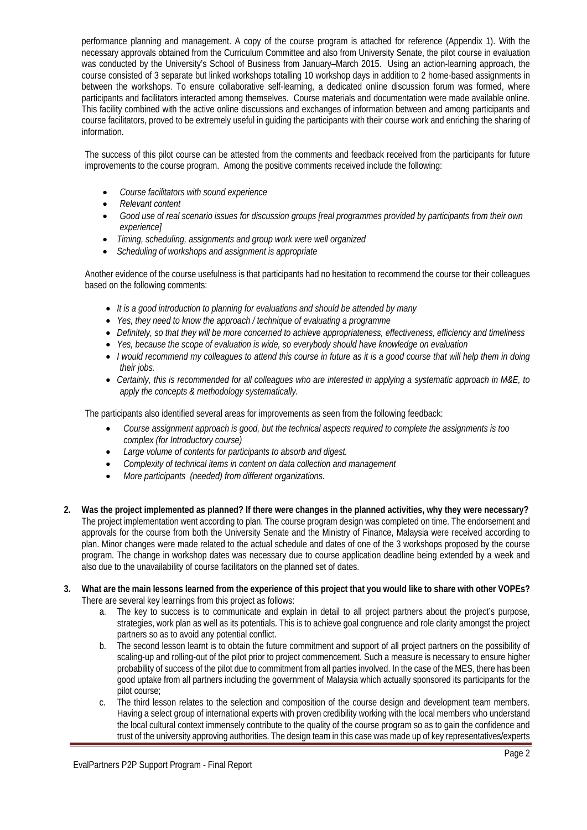performance planning and management. A copy of the course program is attached for reference (Appendix 1). With the necessary approvals obtained from the Curriculum Committee and also from University Senate, the pilot course in evaluation was conducted by the University's School of Business from January–March 2015. Using an action-learning approach, the course consisted of 3 separate but linked workshops totalling 10 workshop days in addition to 2 home-based assignments in between the workshops. To ensure collaborative self-learning, a dedicated online discussion forum was formed, where participants and facilitators interacted among themselves. Course materials and documentation were made available online. This facility combined with the active online discussions and exchanges of information between and among participants and course facilitators, proved to be extremely useful in guiding the participants with their course work and enriching the sharing of information.

The success of this pilot course can be attested from the comments and feedback received from the participants for future improvements to the course program. Among the positive comments received include the following:

- *Course facilitators with sound experience*
- *Relevant content*
- *Good use of real scenario issues for discussion groups [real programmes provided by participants from their own experience]*
- *Timing, scheduling, assignments and group work were well organized*
- *Scheduling of workshops and assignment is appropriate*

Another evidence of the course usefulness is that participants had no hesitation to recommend the course tor their colleagues based on the following comments:

- *It is a good introduction to planning for evaluations and should be attended by many*
- *Yes, they need to know the approach / technique of evaluating a programme*
- *Definitely, so that they will be more concerned to achieve appropriateness, effectiveness, efficiency and timeliness*
- *Yes, because the scope of evaluation is wide, so everybody should have knowledge on evaluation*
- *I would recommend my colleagues to attend this course in future as it is a good course that will help them in doing their jobs.*
- *Certainly, this is recommended for all colleagues who are interested in applying a systematic approach in M&E, to apply the concepts & methodology systematically.*

The participants also identified several areas for improvements as seen from the following feedback:

- *Course assignment approach is good, but the technical aspects required to complete the assignments is too complex (for Introductory course)*
- *Large volume of contents for participants to absorb and digest.*
- *Complexity of technical items in content on data collection and management*
- *More participants (needed) from different organizations.*
- **2. Was the project implemented as planned? If there were changes in the planned activities, why they were necessary?** The project implementation went according to plan. The course program design was completed on time. The endorsement and approvals for the course from both the University Senate and the Ministry of Finance, Malaysia were received according to plan. Minor changes were made related to the actual schedule and dates of one of the 3 workshops proposed by the course program. The change in workshop dates was necessary due to course application deadline being extended by a week and also due to the unavailability of course facilitators on the planned set of dates.
- **3. What are the main lessons learned from the experience of this project that you would like to share with other VOPEs?**  There are several key learnings from this project as follows:
	- a. The key to success is to communicate and explain in detail to all project partners about the project's purpose, strategies, work plan as well as its potentials. This is to achieve goal congruence and role clarity amongst the project partners so as to avoid any potential conflict.
	- b. The second lesson learnt is to obtain the future commitment and support of all project partners on the possibility of scaling-up and rolling-out of the pilot prior to project commencement. Such a measure is necessary to ensure higher probability of success of the pilot due to commitment from all parties involved. In the case of the MES, there has been good uptake from all partners including the government of Malaysia which actually sponsored its participants for the pilot course;
	- The third lesson relates to the selection and composition of the course design and development team members. Having a select group of international experts with proven credibility working with the local members who understand the local cultural context immensely contribute to the quality of the course program so as to gain the confidence and trust of the university approving authorities. The design team in this case was made up of key representatives/experts